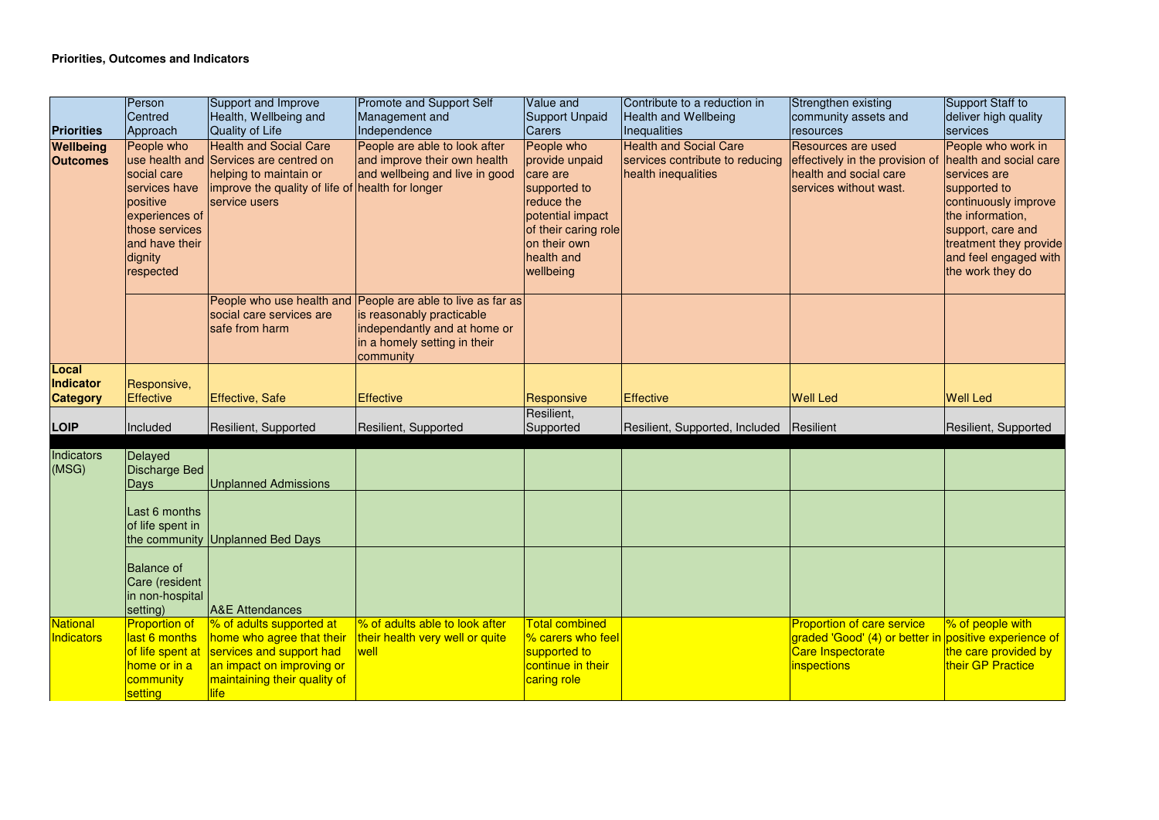|                                       | Person<br>Centred                                                                                                                    | Support and Improve<br>Health, Wellbeing and                                                                                                                           | <b>Promote and Support Self</b><br>Management and                                                                                           | Value and<br><b>Support Unpaid</b>                                                                                                                            | Contribute to a reduction in<br>Health and Wellbeing                                    | Strengthen existing<br>community assets and                                                                      | Support Staff to<br>deliver high quality                                                                                                                                                                             |
|---------------------------------------|--------------------------------------------------------------------------------------------------------------------------------------|------------------------------------------------------------------------------------------------------------------------------------------------------------------------|---------------------------------------------------------------------------------------------------------------------------------------------|---------------------------------------------------------------------------------------------------------------------------------------------------------------|-----------------------------------------------------------------------------------------|------------------------------------------------------------------------------------------------------------------|----------------------------------------------------------------------------------------------------------------------------------------------------------------------------------------------------------------------|
| <b>Priorities</b>                     | Approach                                                                                                                             | Quality of Life                                                                                                                                                        | Independence                                                                                                                                | <b>Carers</b>                                                                                                                                                 | <b>Inequalities</b>                                                                     | <b>resources</b>                                                                                                 | services                                                                                                                                                                                                             |
| <b>Wellbeing</b><br><b>Outcomes</b>   | People who<br>social care<br>services have<br>positive<br>experiences of<br>those services<br>and have their<br>dignity<br>respected | <b>Health and Social Care</b><br>use health and Services are centred on<br>helping to maintain or<br>improve the quality of life of health for longer<br>service users | People are able to look after<br>and improve their own health<br>and wellbeing and live in good                                             | People who<br>provide unpaid<br>care are<br>supported to<br>reduce the<br>potential impact<br>of their caring role<br>on their own<br>health and<br>wellbeing | <b>Health and Social Care</b><br>services contribute to reducing<br>health inequalities | <b>Resources are used</b><br>effectively in the provision of<br>health and social care<br>services without wast. | People who work in<br>health and social care<br>services are<br>supported to<br>continuously improve<br>the information,<br>support, care and<br>treatment they provide<br>and feel engaged with<br>the work they do |
|                                       |                                                                                                                                      | People who use health and<br>social care services are<br>safe from harm                                                                                                | People are able to live as far as<br>is reasonably practicable<br>independantly and at home or<br>in a homely setting in their<br>community |                                                                                                                                                               |                                                                                         |                                                                                                                  |                                                                                                                                                                                                                      |
| Local<br>Indicator<br><b>Category</b> | Responsive,<br><b>Effective</b>                                                                                                      | Effective, Safe                                                                                                                                                        | <b>Effective</b>                                                                                                                            | Responsive                                                                                                                                                    | <b>Effective</b>                                                                        | <b>Well Led</b>                                                                                                  | <b>Well Led</b>                                                                                                                                                                                                      |
|                                       |                                                                                                                                      |                                                                                                                                                                        |                                                                                                                                             | Resilient,                                                                                                                                                    |                                                                                         |                                                                                                                  |                                                                                                                                                                                                                      |
| <b>LOIP</b>                           | Included                                                                                                                             | Resilient, Supported                                                                                                                                                   | Resilient, Supported                                                                                                                        | Supported                                                                                                                                                     | Resilient, Supported, Included                                                          | Resilient                                                                                                        | Resilient, Supported                                                                                                                                                                                                 |
| Indicators<br>(MSG)                   | Delayed<br>Discharge Bed<br>Days                                                                                                     | <b>Unplanned Admissions</b>                                                                                                                                            |                                                                                                                                             |                                                                                                                                                               |                                                                                         |                                                                                                                  |                                                                                                                                                                                                                      |
|                                       | Last 6 months<br>of life spent in                                                                                                    | the community Unplanned Bed Days                                                                                                                                       |                                                                                                                                             |                                                                                                                                                               |                                                                                         |                                                                                                                  |                                                                                                                                                                                                                      |
|                                       | <b>Balance of</b><br>Care (resident<br>in non-hospital<br>setting)                                                                   | <b>A&amp;E</b> Attendances                                                                                                                                             |                                                                                                                                             |                                                                                                                                                               |                                                                                         |                                                                                                                  |                                                                                                                                                                                                                      |
| National<br><b>Indicators</b>         | <b>Proportion of</b><br>last 6 months<br>of life spent at<br>home or in a<br>community<br>setting                                    | <b>% of adults supported at</b><br>home who agree that their<br>services and support had<br>an impact on improving or<br>maintaining their quality of<br><b>llife</b>  | % of adults able to look after<br>their health very well or quite<br>well                                                                   | <b>Total combined</b><br>% carers who feel<br>supported to<br>continue in their<br>caring role                                                                |                                                                                         | <b>Proportion of care service</b><br>graded 'Good' (4) or better in<br><b>Care Inspectorate</b><br>inspections   | % of people with<br>positive experience of<br>the care provided by<br>their GP Practice                                                                                                                              |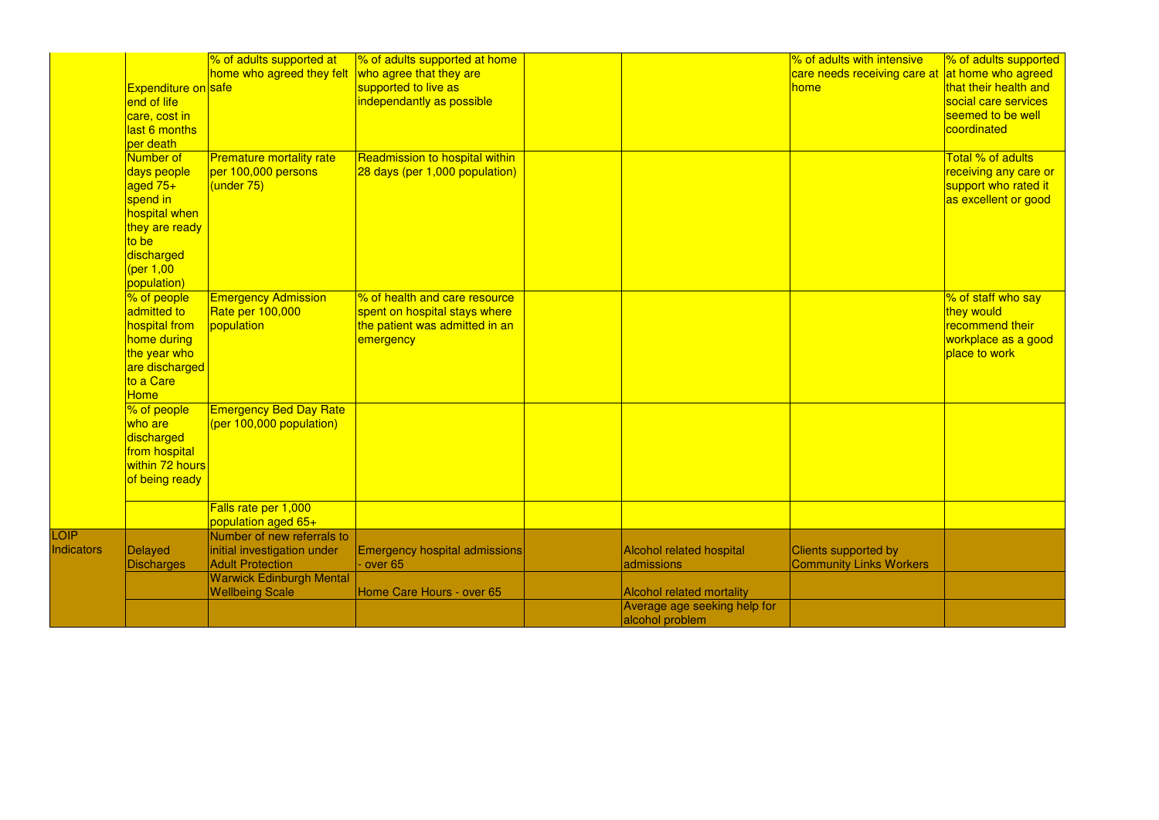|                   |                                  | % of adults supported at                               | % of adults supported at home        |                                  | % of adults with intensive     | % of adults supported     |
|-------------------|----------------------------------|--------------------------------------------------------|--------------------------------------|----------------------------------|--------------------------------|---------------------------|
|                   |                                  | home who agreed they felt                              | who agree that they are              |                                  | care needs receiving care at   | <b>at home who agreed</b> |
|                   | <b>Expenditure on safe</b>       |                                                        | supported to live as                 |                                  | home                           | that their health and     |
|                   | end of life                      |                                                        | independantly as possible            |                                  |                                | social care services      |
|                   | care, cost in                    |                                                        |                                      |                                  |                                | seemed to be well         |
|                   | last 6 months                    |                                                        |                                      |                                  |                                | coordinated               |
|                   | per death                        |                                                        |                                      |                                  |                                |                           |
|                   | Number of                        | <b>Premature mortality rate</b>                        | Readmission to hospital within       |                                  |                                | Total % of adults         |
|                   | days people                      | per 100,000 persons                                    | $28$ days (per 1,000 population)     |                                  |                                | receiving any care or     |
|                   | aged $75+$                       | (under 75)                                             |                                      |                                  |                                | support who rated it      |
|                   | spend in                         |                                                        |                                      |                                  |                                | as excellent or good      |
|                   | hospital when                    |                                                        |                                      |                                  |                                |                           |
|                   | they are ready                   |                                                        |                                      |                                  |                                |                           |
|                   | to be                            |                                                        |                                      |                                  |                                |                           |
|                   | discharged                       |                                                        |                                      |                                  |                                |                           |
|                   | (per 1,00                        |                                                        |                                      |                                  |                                |                           |
|                   | population)                      |                                                        |                                      |                                  |                                |                           |
|                   | % of people                      | <b>Emergency Admission</b>                             | % of health and care resource        |                                  |                                | % of staff who say        |
|                   | admitted to                      | Rate per 100,000                                       | spent on hospital stays where        |                                  |                                | they would                |
|                   | hospital from                    | population                                             | the patient was admitted in an       |                                  |                                | recommend their           |
|                   | home during                      |                                                        | emergency                            |                                  |                                | workplace as a good       |
|                   | the year who                     |                                                        |                                      |                                  |                                | place to work             |
|                   | are discharged                   |                                                        |                                      |                                  |                                |                           |
|                   | to a Care                        |                                                        |                                      |                                  |                                |                           |
|                   | <b>Home</b>                      |                                                        |                                      |                                  |                                |                           |
|                   | % of people                      | <b>Emergency Bed Day Rate</b>                          |                                      |                                  |                                |                           |
|                   | who are                          | (per 100,000 population)                               |                                      |                                  |                                |                           |
|                   | discharged                       |                                                        |                                      |                                  |                                |                           |
|                   |                                  |                                                        |                                      |                                  |                                |                           |
|                   | from hospital<br>within 72 hours |                                                        |                                      |                                  |                                |                           |
|                   |                                  |                                                        |                                      |                                  |                                |                           |
|                   | of being ready                   |                                                        |                                      |                                  |                                |                           |
|                   |                                  | Falls rate per 1,000                                   |                                      |                                  |                                |                           |
|                   |                                  |                                                        |                                      |                                  |                                |                           |
| LOIP              |                                  | population aged 65+<br>Number of new referrals to      |                                      |                                  |                                |                           |
| <b>Indicators</b> |                                  |                                                        |                                      |                                  |                                |                           |
|                   | <b>Delayed</b>                   | initial investigation under<br><b>Adult Protection</b> | <b>Emergency hospital admissions</b> | <b>Alcohol related hospital</b>  | <b>Clients supported by</b>    |                           |
|                   | <b>Discharges</b>                |                                                        | $\cdot$ over 65                      | admissions                       | <b>Community Links Workers</b> |                           |
|                   |                                  | <b>Warwick Edinburgh Mental</b>                        |                                      |                                  |                                |                           |
|                   |                                  | <b>Wellbeing Scale</b>                                 | Home Care Hours - over 65            | <b>Alcohol related mortality</b> |                                |                           |
|                   |                                  |                                                        |                                      | Average age seeking help for     |                                |                           |
|                   |                                  |                                                        |                                      | alcohol problem                  |                                |                           |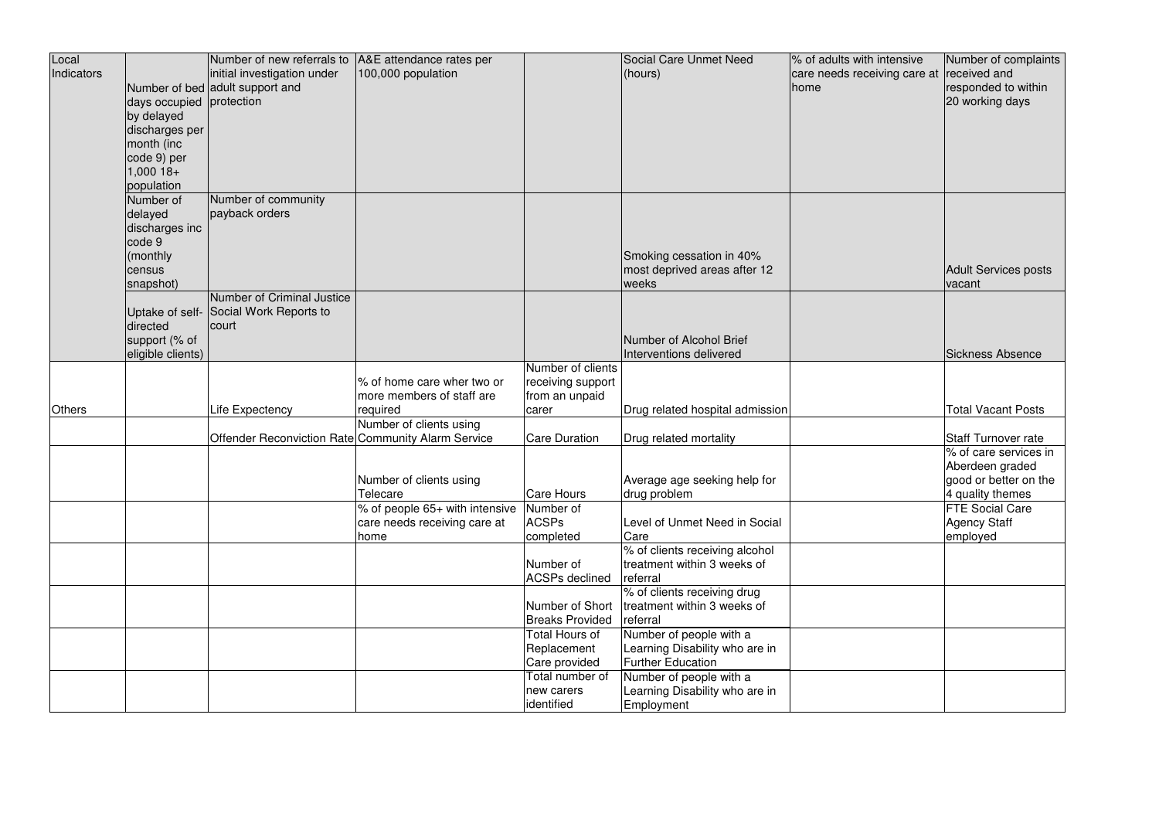| Local         |                          | Number of new referrals to                         | A&E attendance rates per       |                        | Social Care Unmet Need          | % of adults with intensive                | Number of complaints      |
|---------------|--------------------------|----------------------------------------------------|--------------------------------|------------------------|---------------------------------|-------------------------------------------|---------------------------|
| Indicators    |                          | initial investigation under                        | 100,000 population             |                        | (hours)                         | care needs receiving care at received and |                           |
|               |                          | Number of bed adult support and                    |                                |                        |                                 | home                                      | responded to within       |
|               | days occupied protection |                                                    |                                |                        |                                 |                                           | 20 working days           |
|               | by delayed               |                                                    |                                |                        |                                 |                                           |                           |
|               | discharges per           |                                                    |                                |                        |                                 |                                           |                           |
|               | month (inc               |                                                    |                                |                        |                                 |                                           |                           |
|               | code 9) per              |                                                    |                                |                        |                                 |                                           |                           |
|               | $1,000$ 18+              |                                                    |                                |                        |                                 |                                           |                           |
|               | population               |                                                    |                                |                        |                                 |                                           |                           |
|               | Number of                | Number of community                                |                                |                        |                                 |                                           |                           |
|               | delayed                  | payback orders                                     |                                |                        |                                 |                                           |                           |
|               | discharges inc           |                                                    |                                |                        |                                 |                                           |                           |
|               | code 9                   |                                                    |                                |                        |                                 |                                           |                           |
|               | (monthly                 |                                                    |                                |                        | Smoking cessation in 40%        |                                           |                           |
|               | census                   |                                                    |                                |                        | most deprived areas after 12    |                                           | Adult Services posts      |
|               | snapshot)                |                                                    |                                |                        | weeks                           |                                           | vacant                    |
|               |                          | Number of Criminal Justice                         |                                |                        |                                 |                                           |                           |
|               |                          | Uptake of self- Social Work Reports to             |                                |                        |                                 |                                           |                           |
|               | directed                 | court                                              |                                |                        |                                 |                                           |                           |
|               | support (% of            |                                                    |                                |                        | Number of Alcohol Brief         |                                           |                           |
|               | eligible clients)        |                                                    |                                |                        | Interventions delivered         |                                           | <b>Sickness Absence</b>   |
|               |                          |                                                    |                                | Number of clients      |                                 |                                           |                           |
|               |                          |                                                    | % of home care wher two or     | receiving support      |                                 |                                           |                           |
|               |                          |                                                    | more members of staff are      | from an unpaid         |                                 |                                           |                           |
| <b>Others</b> |                          | Life Expectency                                    | required                       | carer                  | Drug related hospital admission |                                           | <b>Total Vacant Posts</b> |
|               |                          |                                                    | Number of clients using        | <b>Care Duration</b>   |                                 |                                           | Staff Turnover rate       |
|               |                          | Offender Reconviction Rate Community Alarm Service |                                |                        | Drug related mortality          |                                           | % of care services in     |
|               |                          |                                                    |                                |                        |                                 |                                           | Aberdeen graded           |
|               |                          |                                                    | Number of clients using        |                        | Average age seeking help for    |                                           | good or better on the     |
|               |                          |                                                    | Telecare                       | Care Hours             | drug problem                    |                                           | 4 quality themes          |
|               |                          |                                                    | % of people 65+ with intensive | Number of              |                                 |                                           | <b>FTE Social Care</b>    |
|               |                          |                                                    | care needs receiving care at   | <b>ACSPs</b>           | Level of Unmet Need in Social   |                                           | Agency Staff              |
|               |                          |                                                    | home                           | completed              | Care                            |                                           | employed                  |
|               |                          |                                                    |                                |                        | % of clients receiving alcohol  |                                           |                           |
|               |                          |                                                    |                                | Number of              | treatment within 3 weeks of     |                                           |                           |
|               |                          |                                                    |                                | <b>ACSPs declined</b>  | referral                        |                                           |                           |
|               |                          |                                                    |                                |                        | % of clients receiving drug     |                                           |                           |
|               |                          |                                                    |                                | Number of Short        | treatment within 3 weeks of     |                                           |                           |
|               |                          |                                                    |                                | <b>Breaks Provided</b> | referral                        |                                           |                           |
|               |                          |                                                    |                                | <b>Total Hours of</b>  | Number of people with a         |                                           |                           |
|               |                          |                                                    |                                | Replacement            | Learning Disability who are in  |                                           |                           |
|               |                          |                                                    |                                | Care provided          | <b>Further Education</b>        |                                           |                           |
|               |                          |                                                    |                                | Total number of        | Number of people with a         |                                           |                           |
|               |                          |                                                    |                                | new carers             | Learning Disability who are in  |                                           |                           |
|               |                          |                                                    |                                | identified             | Employment                      |                                           |                           |